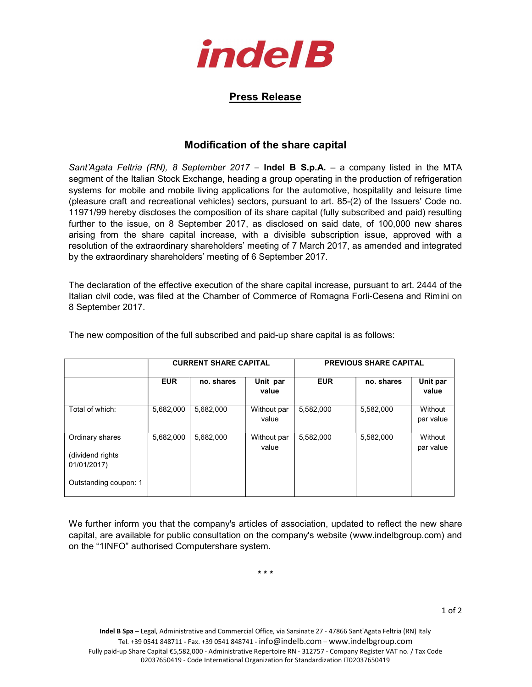

## Press Release

## Modification of the share capital

Sant'Agata Feltria (RN), 8 September 2017 – Indel B S.p.A. – a company listed in the MTA segment of the Italian Stock Exchange, heading a group operating in the production of refrigeration systems for mobile and mobile living applications for the automotive, hospitality and leisure time (pleasure craft and recreational vehicles) sectors, pursuant to art. 85-(2) of the Issuers' Code no. 11971/99 hereby discloses the composition of its share capital (fully subscribed and paid) resulting further to the issue, on 8 September 2017, as disclosed on said date, of 100,000 new shares arising from the share capital increase, with a divisible subscription issue, approved with a resolution of the extraordinary shareholders' meeting of 7 March 2017, as amended and integrated by the extraordinary shareholders' meeting of 6 September 2017.

The declaration of the effective execution of the share capital increase, pursuant to art. 2444 of the Italian civil code, was filed at the Chamber of Commerce of Romagna Forli-Cesena and Rimini on 8 September 2017.

|                                                                              | <b>CURRENT SHARE CAPITAL</b> |            | <b>PREVIOUS SHARE CAPITAL</b> |            |            |                      |
|------------------------------------------------------------------------------|------------------------------|------------|-------------------------------|------------|------------|----------------------|
|                                                                              | <b>EUR</b>                   | no. shares | Unit par<br>value             | <b>EUR</b> | no. shares | Unit par<br>value    |
| Total of which:                                                              | 5,682,000                    | 5,682,000  | Without par<br>value          | 5,582,000  | 5,582,000  | Without<br>par value |
| Ordinary shares<br>(dividend rights)<br>01/01/2017)<br>Outstanding coupon: 1 | 5,682,000                    | 5,682,000  | Without par<br>value          | 5,582,000  | 5,582,000  | Without<br>par value |

The new composition of the full subscribed and paid-up share capital is as follows:

We further inform you that the company's articles of association, updated to reflect the new share capital, are available for public consultation on the company's website (www.indelbgroup.com) and on the "1INFO" authorised Computershare system.

\* \* \*

1 of 2